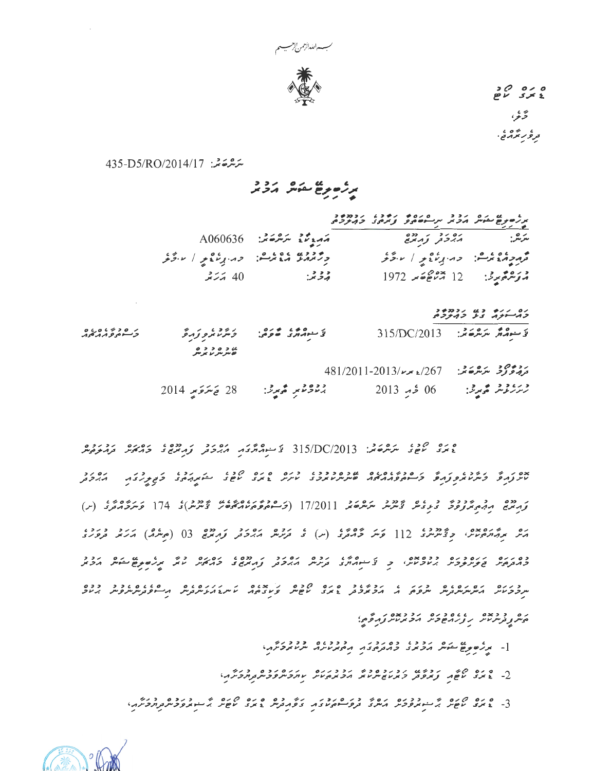

 $0,0,0,0$ <br> $2 \times 2$ ىخ يى ر ، د ه ه ،<br>تر *و ر بو* پر م

ىترتەتمەتى: 435-D5/RO/2014/17

|                                                                                                      |  | برگر موسط مقرس مرکز در مرکز مرکز در مرکز در مورد و در مرکز می<br>در مرکز میگیری مرکز مرکز مرکز در مرکز در مرکز در مرکز می |  |
|------------------------------------------------------------------------------------------------------|--|---------------------------------------------------------------------------------------------------------------------------|--|
| مَهْدِمَةٌ مَكْثَرَ 4060636 A060636                                                                  |  | نترنتر: دوم در دوم در دوم در دوم براسم دوم در دوم در دوم در دوم در دوم در دوم در دوم در دوم در دوم د                      |  |
| ولهمعد مديمن، وماريد و الانجو                                                                        |  | مهدد وعقام درباع الاخر                                                                                                    |  |
| م قائد المراكز من المراكز من المراكز من المراكز من المراكز من المراكز من المراكز من المراكز من المرا |  | $1972$ مَوَسْعَمَ $12$ مَنْ مَصْحَفَ مَدَّ                                                                                |  |

נם נוד בע נדחדות<br>צונייתונו בת בן תפכם قۇس**ەمگە ئىرتىدىنى:** 315/DC/2013  $20,00000$ ن د ه د د ه<br>صنر نر نړ نگر ر دوم د سرگردي. 267 وسرا (2011-2011) 481 

ە رە مى دە بەدەرە<br>غىمدى ئاھۇ ئىرىگرىقىم: 315/DC/2013 تۇسۇمەگرىمە مەركەتى كەمدىن ئىرمەم ئىرىمى ئىرىمى ئىرىمى ئىرىمى ئىرىمى ئىرىم ر «ە د دود» د پەر تۇشر ئىرىگە دەرلەر 17/2011 (كەسمەھەر بەردە پەر دەرلى) كى 174 كۈنىرگەنگەنگە (بر) ره بروروسی و دوره در دوره و در دوره (س) و تر دور در دوره و دوره در دوره در در در در در در در در در در در در در כס קיס קיסבים בכס מס מס של המותוב ובכס קיסקים במסגרים ביותר ומותום ובס קיסבים וביותר וביותר וביותר וביותר וביו<br>במותקים והתוקיבים המכמים ביותר ביותר וביותר והביות ובמותוב במואים מיותר וביותר וביותר וביותר וביותר וביותר ובי .<br>תקבעת התיתיתתות תפה ה הכמכה גזה שיפות פעציקה עיתגה ביתותתות השפתיתית ביני ככם גם כבבם ו גם כבים גבבבסים.<br>המתקבת מית גן גורוספיק ומכות מית קודלים.

[- مرگر موقع مشور از دوره ده ده دوره دوره دوره .<br>[- مرگر موقع مشور از حرمان و برابر مردور از مرکز برابر مرکز مرد .

ם גם קוב ונשט ונונסנש וננינים וונינים וונקיים וניקרים.<br>2- גיוני יוסף נונקנים כמיוזייניים וכמיוניים וונקיינקפיינקולקים.

3 - ס גם ליגם לי יכבום וסלי בניסובו וני כם סום ליגם לי בנבס בנילי.<br>3- גיונים משיני הייתוח בית הייתוח ובקיימים ובקודות הוונים משיני הייתוח ביתוח וביתוח.

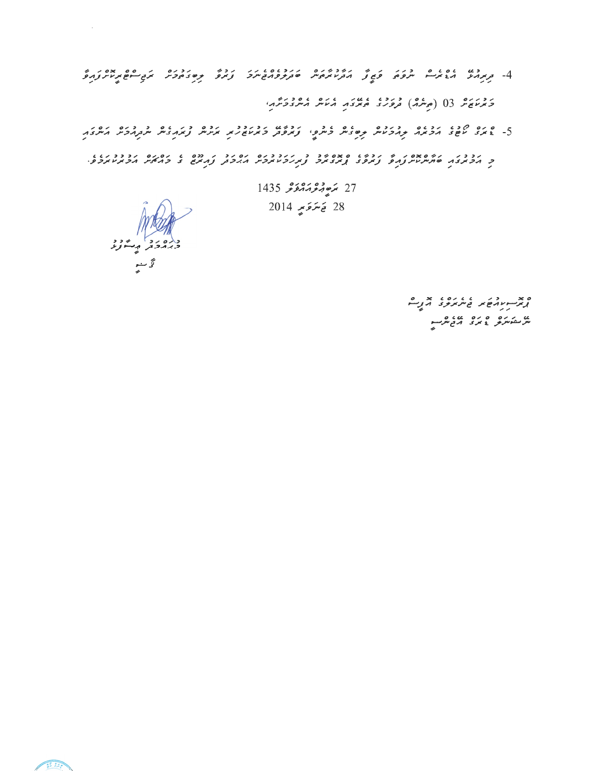روبرده . 03 (مرسمه) ورود بالا المائد المسافر المسافر و المسافر المسلم المسلم المسلم المسلم المسلم ال

ר- יום קובו ובגם הבובת השום גבתם ובבני ובובב ובבי הבת התורה בובנית התורה.<br>5- גיוני משוב הכזהה ההבטית השובית ביתם, ובהפת בזהמהיות זהתיות בזהקובית התהבות היוליקה נכבנו נפספסנו בן נפש סמספר בן ננכבנס נסינביו נפס גוסנס נבבבנגג.<br>כן הכמצה סתייניות נהפ נאפצ נמנדאים נמנדליומפית הדוכת נהמא זו כהאית הכמומפי

> 27 <del>مَرْهِ مِعْرَمَ مَعْرَفِ</del> 1435 28 ق مترة مير 2014

رىم ئېر مەدر<br>مەنىر ئېرىستىرلىر

ە بدىسىدىكى ئەرە ، بد رە ی در ده او ده است و در بالاست و سر بالاست و بالاست و بالاست و بالاست و بالاست و بالاست و بالاست و بالاست و بال<br>بالاست و بالاست و بالاست و بالاست و بالاست و بالاست و بالاست و بالاست و بالاست و بالاست و بالاست و بالاست و با

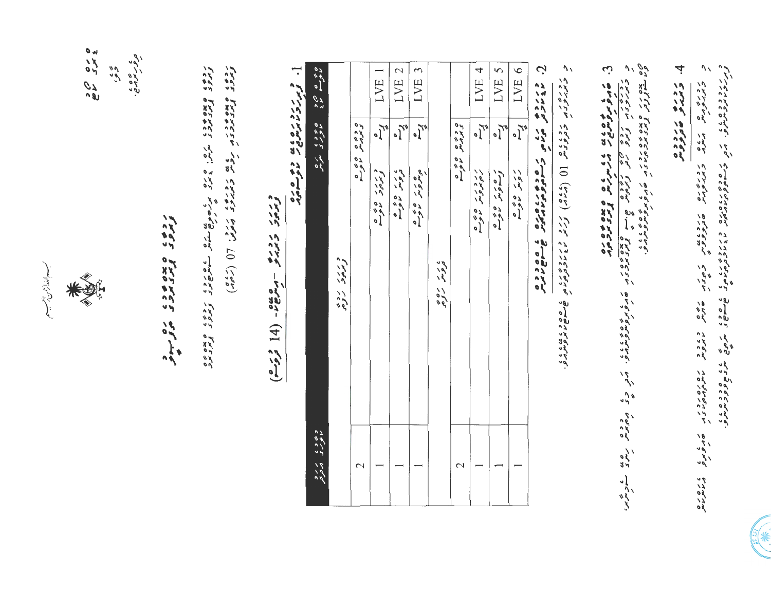

و ربرد و ده ده .<br>گرمزد تا برگرد به برگر در سامون مربر ده برگرد توم با ده ده به ای سامون سرم ی ی موتو تون برگرد .<br>گرمزد تا برگرد برگرد .

ر ر ידים ם דברים בדישום דורגוט בדישון דיין של דוגר דסודר האספריפינדי פונדיק המתנטים.<br>באודקוטית היירוח באודקוטית פונקקקקקית בסודו מאקטית מתנסרוסטיוציה פונדיקה המתנטית.

4 روره می دوده

ם הבסיי המבסים ידוע היה היה המסיינה.<br>פי הבסיי המבוסים ידוע היה המשתמשים בי

3. كام و موه بعد و مع الماد و معروض و من المعروف .<br>- المسابق الموضوع المسابق المسابق المتحدد المحدود و المسابق المحدود المسابق المحدود المسابق المحدود المسابق ال<br>- المسابق المحدود المحدود المحدود المسابق المحدود المحدود ا

 $\mathcal{U}$ ر دره ر د د ده و هرو و د ( ) ( ) ) کورم د د د د د د د د د و و د ه سود د د د د د .<br>د بربرو د د د و و د د د ا ( ) ( ) ) کورم د س د د د د و د و د و د ه سود سود و .

Ċ, ورد و می ده ده ده ده ده ده ده ده ده ده<br>ماده در ده در ده ده ده در ده در ده

| للمرثرى المراوض  | أعوست تماع الملوثرى الملهل                            |                  |
|------------------|-------------------------------------------------------|------------------|
|                  | وررر روء                                              |                  |
| 2                | ه د ۶ ه ه ۶ ه<br>د بروس موسع                          |                  |
|                  | $\sqrt{\frac{2}{n}}$<br>د رر ر ه په ه<br>وبروت مانوسه | LVE 1            |
|                  | $\tilde{r}$ of $\tilde{r}$<br>، ر ر ه ه ه ه           | LVE <sub>2</sub> |
|                  | $\frac{1}{2}$<br>ه عروب وي ه                          | LVE <sub>3</sub> |
|                  | ، ر ر ره پر<br>دروس ر ره                              |                  |
| $\mathrel{\sim}$ | ه د ده ه ه ده و                                       |                  |
|                  | $\tilde{f}$<br>رردر رده وه                            | LVE 4            |
|                  | $\frac{1}{2}$<br>ره ره رحم ده چ ده                    | LVE 5            |
|                  | $\frac{1}{2}$<br>ر در ده ه ه                          | LVE 6            |
|                  |                                                       |                  |

|                                                       |                           |                          | LVE 1                                         | LVE 2                        | LVE 3                                 |                          |                          |
|-------------------------------------------------------|---------------------------|--------------------------|-----------------------------------------------|------------------------------|---------------------------------------|--------------------------|--------------------------|
| ه د ده ماد المادي المربع.<br>المالوسيد المادي المربع. |                           | ه د ده ه ه ده و          | $\frac{1}{2}$<br>د رر د ه په ه<br>وبره د موسم | $\frac{2}{3}$<br>، ر ر ه و ه | $\frac{1}{\sqrt{n}}$<br>ه عروم و در ه |                          | 040 0410                 |
|                                                       | د رر د ده.<br>و برم د روم |                          |                                               |                              |                                       | ، ر ر ده پر<br>دروس ر ده |                          |
| دوی و ، مرکزد<br>معوری مرکزو                          |                           | $\overline{\mathcal{C}}$ |                                               |                              |                                       |                          | $\overline{\phantom{0}}$ |

| ه د د ه ه ه د ه<br>وررر روپ                     |  |
|-------------------------------------------------|--|
| ده و و و مر رود.<br>ما عرب و مر ترونر<br>J<br>C |  |

ويمت وويد - موها - (14 وق

 $\sim$   $\sim$   $\sim$ 

 $-1$ 

222 248<br>522 26 د غرب پره د<br>ورعر برم بي  $\tilde{\zeta}$ 

رده ، ه پیروم د ، ده .<br>زیرون پیرومرد ، موتر بیوتر

رووه برسود در که دهنده و استفاده (۱۳۵۲)

سب العدالرحمن مجمسه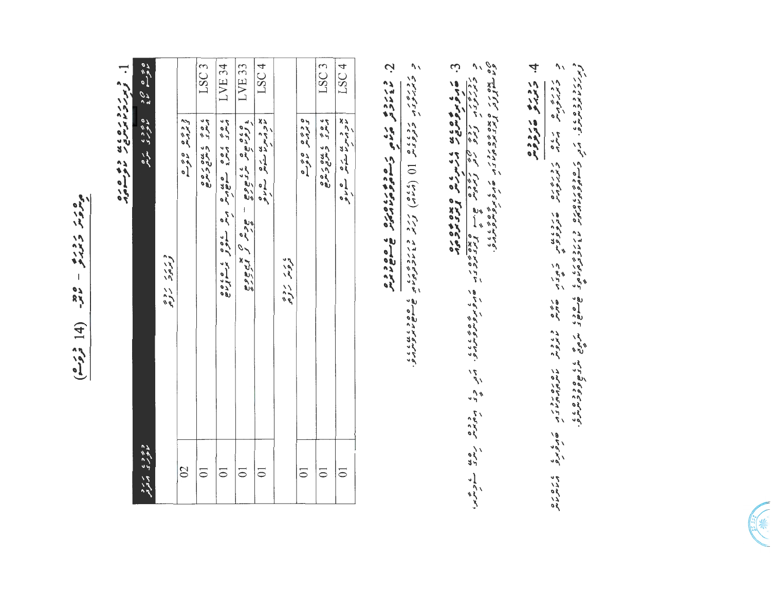סיי כלי האי שירה<br>קיילי לאי לאי שירה  $(2, 2)$   $(4)$ 

 $\overline{\phantom{0}}$ 

| oza oze                      |          |                | LSC <sub>3</sub> | LVE 34                                                                                                                                                                                                                           | LVE 33                                                     | LSC <sub>4</sub>                                 |                             |                 | LSC <sub>3</sub> | LSC <sub>4</sub>                                        |
|------------------------------|----------|----------------|------------------|----------------------------------------------------------------------------------------------------------------------------------------------------------------------------------------------------------------------------------|------------------------------------------------------------|--------------------------------------------------|-----------------------------|-----------------|------------------|---------------------------------------------------------|
| ه ۶۶۶۵ مترهما<br>موری مترسم  | وررر روه | دده ه ه و د    | 2010 545546      | גסים גסים באנגם היות היותר אריים ביותר ביותר ביותר ביותר ביותר ביותר ביותר ביותר ביותר ביותר ביותר ביותר ביותר<br>הייתר הייתר ביותר ביותר הייתר ביותר הייתר ביותר ביותר ביותר ביותר ביותר ביותר ביותר ביותר ביותר ביותר ביותר בי | ه دوموه ه به بدوه ها<br>دوموه هر مدوه ها<br>- acm e ripaca | پو و بن بن شره ه ه ه ه<br>ما و در بن ستماش هما و | ، ر ر ر د ده<br>دروس ر د وه | ه د ده ه ه ده و | 2010 545546      | پو وری عا حقای کے معاملے<br>ملازم مونتا حقایق کے معاملے |
| وی و ، مررو<br>ماعر و ماندهر |          | $\overline{C}$ | $\overline{0}$   | $\overline{\circ}$                                                                                                                                                                                                               | $\overline{0}$                                             | $\overline{0}$                                   |                             | $\overline{0}$  | $\overline{0}$   | $\overline{0}$                                          |

- Ċ.
- 
- 
- 
- درروه دره دستودون ایجاد خاسع نادید.<br>منتخبروش دیمون میکادی شاسع نامی
- -

د دوره د کوون د کال (۱۹۷۹) کرد و دردوره و هستهای درد.<br>د دبدبروتر د کوون (۱) (۱۳۹۹) کرد و دروه دوره و هستهای موس

4 زدره دردده<br>4 زدره مدروه

 $\mathcal{U}$ 

ב דיד בכבסים.<br>צוונד מודעיון איך בשפתפטוני 1300 מודעים בין 1940 ששפט יותפה יודע 29000 יותר.<br>צוונד מודעיון בין הבין בשפתפטוני 1940 מודעים בין ששפט יותפה יודע 29000.

ידים סיין פאידי דיומים יינדינט יי די המון ואסט דיודד מסידי היי זיומים.<br>דאידיקוייר ויינור דאידקוייר שקקקפית בקבור שחייר טאפייר טייקיוביטיביובר המענטית.

第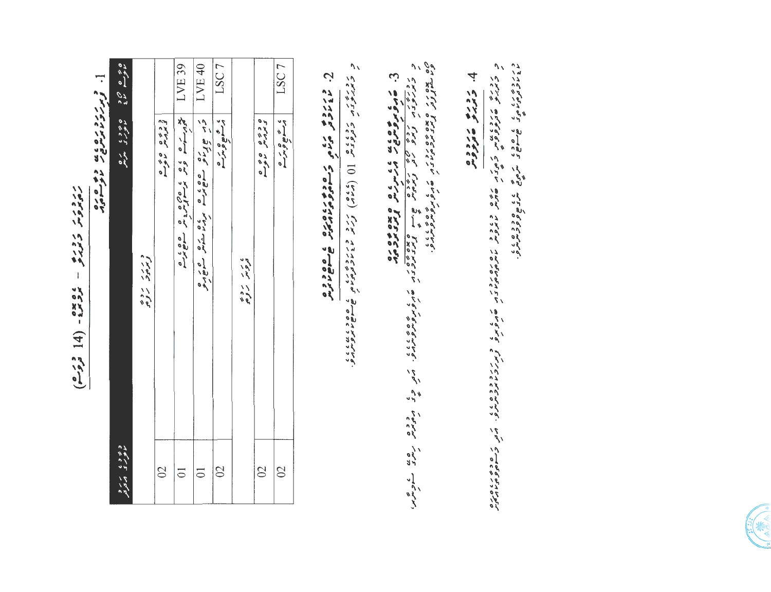|                             |                                 | ه د جا د مارد<br>مون مارد   |           |                 | LVE 39                                                   | LVE 40                      | LSC7         |              |               | LSC7                             |                                                                                                                                                                                                                                  | $\mathcal{L}$                                                                                                   |
|-----------------------------|---------------------------------|-----------------------------|-----------|-----------------|----------------------------------------------------------|-----------------------------|--------------|--------------|---------------|----------------------------------|----------------------------------------------------------------------------------------------------------------------------------------------------------------------------------------------------------------------------------|-----------------------------------------------------------------------------------------------------------------|
| $(4 - 55 - 4) - 5525 - 555$ | ]. ومردوم مردوع المحامل المعموم | ه چ و ، م ره<br>مانوری ملهم | وررر روده | د د ده ه ه ده ه | بعد ره ی ی ده) و وه ی ده ی<br>مرسم و عرب بر سالم مربع شر | e co esta anten méridian de | با من ه مر م | ، ر د ر د ده | ه د ۶ ه ه ۶ م | ، جان جا پر ے<br>است جا تو بتر ے | د المادة المحمد المحمد المحمد المحمد المحمد المحمد المحمد المحمد المحمد المحمد المحمد المحمد المحمد المحمد الم<br>2. المحمد المحمد المحمد المحمد المحمد المحمد المحمد المحمد المحمد المحمد المحمد المحمد المحمد المحمد المحمد ال | 00 میده رر ه پیره برور ر<br>هر ستوفرانس فریرو برو برای نه برو برو برو بردی<br>3. تەرەپرەت بەي بارلىرى ھەمەمەدە. |
|                             |                                 | د ۶۶۶ - ۲۲۸<br>ماهر ک براد  |           | $\infty$        | $\overline{0}$                                           | $\overline{0}$              | $\Omega$     |              | $\infty$      | $\infty$                         |                                                                                                                                                                                                                                  |                                                                                                                 |

4. کوهمهنو هترووه<br>در دبربرو هزووی و در دبرد کرم که هرس عبروس عمره بروبرد آن هروبرد و کرد در های برگ دبر دبرد که در دبر و مورد ب<br>در دبربرو هزووی و در دبرد که هرس عبروس عمره برای مورد از هر این برگ در این دبرد برگ برگ برای

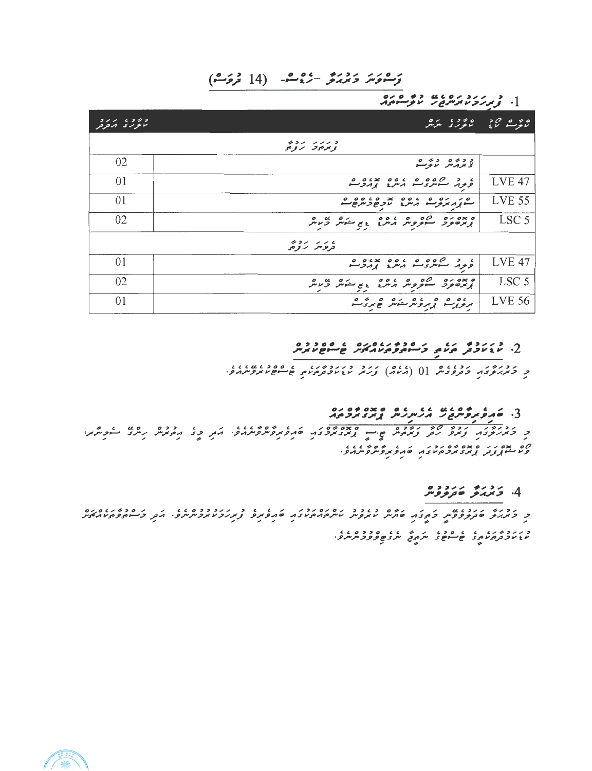# تَ وَصَدَّمَ وَمَرْرَقٍ - دَعْ هُ - (14 قروسُ)

1. *زیر زدید بره ۱۹۵ د و س*ره

| コンン・ムコダコ<br>الأنوارات الماقرقر | 01 6350<br>والمتوارى التوبس                                                                                                                                                                                                                                                                                                                                       | 20000<br>ミレーエクレ   |
|--------------------------------|-------------------------------------------------------------------------------------------------------------------------------------------------------------------------------------------------------------------------------------------------------------------------------------------------------------------------------------------------------------------|-------------------|
|                                | そうノーシンプ<br>ومرمرح ترومى                                                                                                                                                                                                                                                                                                                                           |                   |
| 02                             | $0 \leftrightarrow 0 \leftrightarrow 2$<br>تخافرونش الأفواشع                                                                                                                                                                                                                                                                                                      |                   |
| 01                             | ، د 2000 ، ده پروت<br>ونور سوسری سر مسرع پردوستو                                                                                                                                                                                                                                                                                                                  | LVE 47            |
| 01                             | سور برتر مس دس در مرض                                                                                                                                                                                                                                                                                                                                             | <b>LVE 55</b>     |
| 02                             | $J \times O \times O$<br>╯                                                                                                                                                                                                                                                                                                                                        | LSC <sub>5</sub>  |
|                                | そうノーン く<br>تروس نرومى                                                                                                                                                                                                                                                                                                                                             |                   |
| 01                             | $0$ $0 \times$ $00 \times$ $0$ $00$ $\mathcal{O}$<br>$\overline{\phantom{a}}$<br>ووم سيرىس مسء ومردس                                                                                                                                                                                                                                                              | LVE <sub>47</sub> |
| 02                             | ه بده بره همه و از ده و در بره این و برابر<br>از برخوان در سوانو برابر برابر برابر برابر از برابر برابر برابر برابر برابر برابر برابر برابر برابر برابر برا                                                                                                                                                                                                       | LSC <sub>5</sub>  |
| 01                             | $0$ $\phi$ $\qquad$ $0$ $\qquad$ $\qquad$ $0$ $\qquad$ $\qquad$ $\qquad$ $\qquad$ $\qquad$ $\qquad$ $\qquad$ $\qquad$ $\qquad$ $\qquad$ $\qquad$ $\qquad$ $\qquad$ $\qquad$ $\qquad$ $\qquad$ $\qquad$ $\qquad$ $\qquad$ $\qquad$ $\qquad$ $\qquad$ $\qquad$ $\qquad$ $\qquad$ $\qquad$ $\qquad$ $\qquad$ $\qquad$ $\qquad$ $\qquad$<br>برووسه وبروشر سنرشح بروسة | LVE 56            |

# 

### 3. قەم *ئەمەيدىن بىر بەھ بەھ بەم*ەم بە

ו בנדיר או ברי הזה נדירים המסיסים ו המשליטים בין בין היים היים לא היים ויים לא היים לא היים לא היים ויים לא הי<br>כן כזונית באי נדיר ויים נדיריים ובן נדיר באי בין בין היים לא היים ויים בין היים ויים לא היים ויים לא היים לא ה 00 בסיני האסיפיניי ניין להפינניים.<br>תוניים קצת קאבציבים ואיסופים ואיסופיים ואיסוף.

#### 4. 5 دره درد ده

נדוד נוגד באשר בהצה בדי בנדוד במינים במינים במינים במינים במינים במינים במינים ברינום.<br>כדי המינים התקפקים בה היו הודיע ממקסים מינים ההמיצור המוקדות במינים ומקביעיות המוקד ב-1960 המינים במינה אמים.<br>ב 

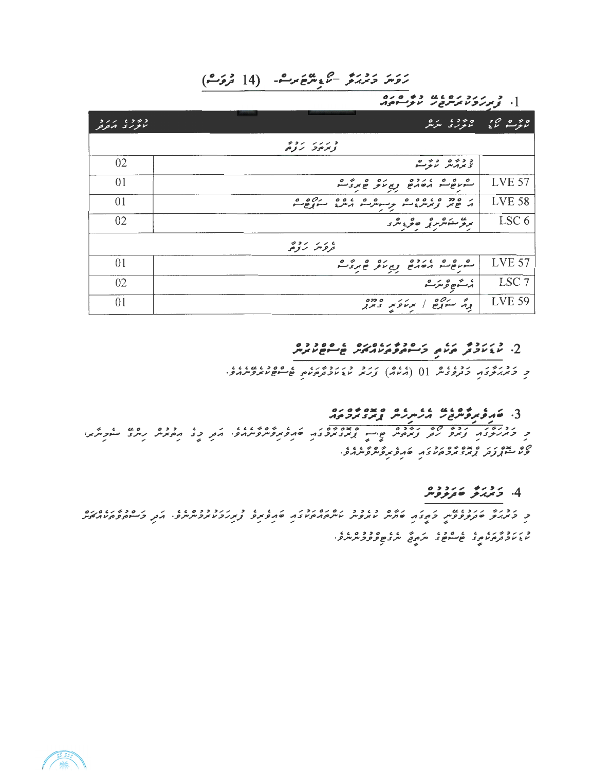## رَوَسَ دَمِرْسَرٌ - مَا عِسْرَةَ مِرْ- (14 فَرَوْسَمْ)

### Je (1977)

| 211 6252<br>الانوارات الماقرقر | ەپروە بەھ                                                                                                                                                                       | 20000<br>$2v = -9v$ |
|--------------------------------|---------------------------------------------------------------------------------------------------------------------------------------------------------------------------------|---------------------|
|                                | チコン・シンジョ<br>وبمرموح الراوامي                                                                                                                                                    |                     |
| 02                             | و دره متوسه                                                                                                                                                                     |                     |
| 0 <sub>1</sub>                 | 0316000<br>Concor Reve                                                                                                                                                          | LVE 57              |
| 01                             | ر ۵۶۵ منده ده و مسوئل در ده در در ده در در ده د                                                                                                                                 | <b>LVE 58</b>       |
| 02                             | برنو منكر مرد و مرد برد                                                                                                                                                         | LSC 6               |
|                                | そうノーン く<br>تروسر برومى                                                                                                                                                          |                     |
| 0 <sub>1</sub>                 | 0 > < c<br>$0 \not\sim 0$ $0 \times$<br>$\circ$<br>0<br>وبمائلو كالمرديسة<br>Concor Reve                                                                                        | LVE 57              |
| 02                             | ۇ ئەھ <i>ۋ</i> ىترىشە                                                                                                                                                           | LSC <sub>7</sub>    |
| 0 <sub>1</sub>                 | $\frac{1}{2}$ $\frac{1}{2}$ $\frac{1}{2}$ $\frac{1}{2}$ $\frac{1}{2}$ $\frac{1}{2}$ $\frac{1}{2}$ $\frac{1}{2}$ $\frac{1}{2}$ $\frac{1}{2}$<br>بوتم<br>$\overline{\phantom{a}}$ | <b>LVE 59</b>       |

#### 

د درور درورد داده از (۵۷۶) درد دربردورد و دردورد و داده داده.<br>د کمبرگرد درووس [۱] (ملاک) زرس با باد ترمزین و ساح با بروس

#### 3. סתלתפתובי הניתנית ציבדיבים.<br>3. סתלתפיתבי הניתנית ציבדיבים.

נדר בין הרובי הרובי המדורד המוסירים נותר בין המוסירים.<br>כן כמנוצאו צמר נוב צממית שייין צמצמכצו שונפתרייתים. ואת כל וממינית ניתל בלקולותו ם מסגנ סמס מסגרג האורק אינטיונט.<br>פעישון צבון גוונד איפיק ועד לאורק איפיק אינטיוני

#### 4. 5 دره دردوه

ו בנים נוכשים ואו גם בשבב נסיס בגבון או גם המורד במורד בסיטון ואו פרטוסיס.<br>כן כזהות שתתפפות כם, בה שהיית מתפית מיתם, הם, משהפתפו בזקופטותפיות, התן פניים, פני האית.<br>ק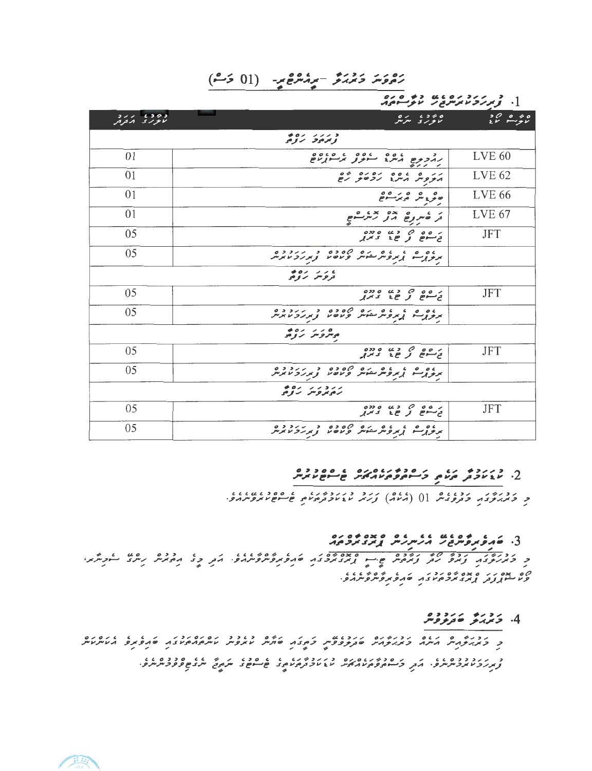### $(0.601)$  كَمْهُوَمْ حَمْدَ بِهِمْ مِيْتَمْ فَلَمْسِينَ حَمْدَ مِيْتَمَا مِيْتَمَا  $\sim$

# . ژبر دوره به دو ده د

| 211222<br>لالورى الافرقر | $\blacksquare$<br>ە ئەدە بىر بەر                                                                                                                                                                                                          | ەم ھەدى       |
|--------------------------|-------------------------------------------------------------------------------------------------------------------------------------------------------------------------------------------------------------------------------------------|---------------|
|                          | و رز زه و                                                                                                                                                                                                                                 |               |
| 01                       | ר כתוב מיטו מסים ממסים בין מיטו היום היום היום היום בין לא היום בין לא היום בין לא היום בין לא היום בין לא היו<br>היום לא היום מיטו היום לא היום היום לא היום לא היום לא היום לא היום לא היום בין לא היום בין לא היום לא היום לא<br>s 1 1 | <b>LVE 60</b> |
| 01                       | נג ם שםם נסגם בם<br>התפית הייגו נכסת נפ                                                                                                                                                                                                   | <b>LVE 62</b> |
| 01                       | ە دە دەرە                                                                                                                                                                                                                                 | <b>LVE 66</b> |
| 01                       | ן<br>ג' ליתנש גם צו פ                                                                                                                                                                                                                     | <b>LVE 67</b> |
| 05                       | ر ه ه ه ه د په ه دده<br>تح سوخ تو ځ و کامرار                                                                                                                                                                                              | <b>JFT</b>    |
| 05                       | ره و د د ده ده ۵۶۵۶ و دردوه<br>مرورسو پروتر کمیش وناصر تهریز تامرس                                                                                                                                                                        |               |
|                          | ، ریه ره به<br>دروس تروی                                                                                                                                                                                                                  |               |
| 05                       | ر وه دړ وين ودده<br>تح سوخ تو ځنځ کرمړ                                                                                                                                                                                                    | <b>JFT</b>    |
| 05                       | ده ه د ده مره مره ده د د د د ده<br>مربور د و برونتر شونتر و مره د و برتر و برن                                                                                                                                                            |               |
|                          | ە يەرەپ ئەدە                                                                                                                                                                                                                              |               |
| 05                       | بره ه م د بر ه دده<br>تح سوخ و حولا کنرو                                                                                                                                                                                                  | <b>JFT</b>    |
| 05                       | ره و د د ده ده ۵۵۵ و دروه و دروه<br>مرورسو پروترمش ونامه ومرونامرس                                                                                                                                                                        |               |
|                          | $\bullet$ 01 11311<br>ת את קיית זן ני                                                                                                                                                                                                     |               |
| 05                       | $0.320 \, \mu$ $2.00 \, \mu$<br>$1 \times 2$ $10$ $100$                                                                                                                                                                                   | <b>JFT</b>    |
| 05                       | ره و د ده د ده ده وه ده د د د د د د د د و د<br>مرو و سه از مرو شر شوشر و مرد و د بر رو د مرس                                                                                                                                              |               |

#### 

# ו שהפתפית בין גם גם היי היי מידי הפינים.<br>3. שהפתפית בין הקייקוקית וביני מכירים.

د درود .<br>د درود از در در درود و بارود از باروبرد در کاروبروگروگرد کار در در بارور بارو کاربران 

## 4. د درو مردوه

ק בקשר בן גודה הבקשקה הקבועות הקדם במבבד ההמוניקה המוניקה בקבועות המוניקה ביותר בקבועות המוניקה ביותר ביותר בי<br>כך בהקקבועית הייתה בהקקבועית שתקקפועית בהזבה שותפית מיתהתנהדית ביותר ביותר המיתמית<br>ק د بر در د د ه پایان د سره د پر باه بره د بر د پر بایان د د باید که پایان د د ه پایان د د ه پایان د د ه پایان د<br>توپربر چربه بر چربه برخی از سوه و هم بر ایران کو بر باید بر هم بره می سوهای سره می سر د ها فروخ سر سره .

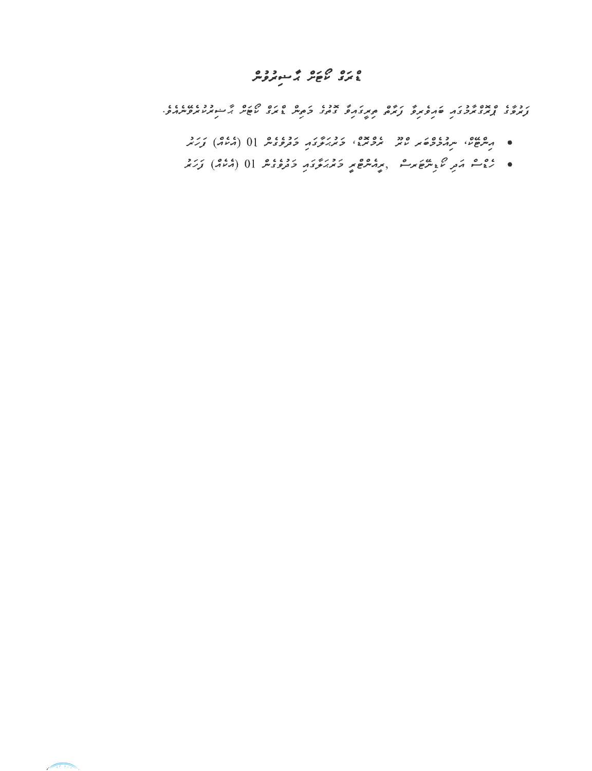# ه ده مړين په سوبروس<br>٤ تری مانځس پر سوبروس

- ه مسرح مسرود ده ده دومده دوروند دود، دو او دوم
- رُوْمٌ مَرِ رُومٌ مُعْ مِنْ , بِرِمُمْرُومٍ دَرْبَرُ مَنْ دَوْرُ مِنْ 10 ( دُمْنُ) كَرَبْهُ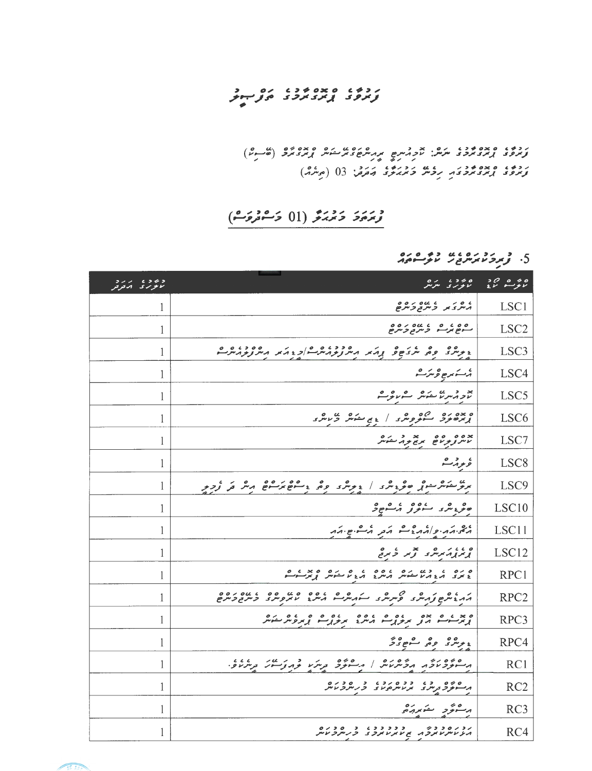# 

ر دون و دون دون در مرد ...<br>و مرد و برمرو مرد و سرس ناد مرد مرد برمرد و مرد مرد مرد الاسترا) ردو، معده در برؤیز زدید، ته ترته: 03 (مرکز)

## ورزد دردرو (01 در مروث)

 $\frac{1}{2}$   $\frac{1}{2}$   $\frac{1}{2}$   $\frac{1}{2}$   $\frac{1}{2}$   $\frac{1}{2}$   $\frac{1}{2}$   $\frac{1}{2}$ 

| و بر و د بر ر د<br>مانور بر ار ایرانیم | ەم ھە ھەدە يەرە بىر بىر                                                                              |                  |
|----------------------------------------|------------------------------------------------------------------------------------------------------|------------------|
| 1                                      | גם גן געס גם ס                                                                                       | LSC1             |
| 1                                      | ם בנים ביות ביתים.<br>התפוצרה בית ביתים                                                              | LSC <sub>2</sub> |
| 1                                      | و ده ده مرد ده در مرد داده داد و برم متر دوده ده ه                                                   | LSC <sub>3</sub> |
| 1                                      | ە ئەسە بىر ھە ئۈرگ                                                                                   | LSC <sub>4</sub> |
| 1                                      | للمحروم مراع مشارع والمحرب                                                                           | LSC <sub>5</sub> |
| 1                                      | ه ده ده مره ورو / دیم مشکر و رسی                                                                     | LSC <sub>6</sub> |
| 1                                      | ×99 و99 بریز پر مشک                                                                                  | LSC7             |
| 1                                      | غرمرث                                                                                                | LSC <sub>8</sub> |
| 1                                      | برتوستنگرسوتي ھوءِ نگری / ۽ پرنگری او هي ۽ سوھ برنگر ان کي اوج پر                                    | LSC <sub>9</sub> |
| 1                                      | ەنزوندى سىزىر مشھۇ                                                                                   | LSC10            |
| 1                                      | התיהו פולהגים הת הם היה                                                                              | LSC11            |
| 1                                      | ويمور بالرمر الملاح المراجح المراجح                                                                  | LSC12            |
| 1                                      |                                                                                                      | RPC1             |
| 1                                      | ז גם זה כך סינים מים המסינים מיט בסינים ביתבתים.<br>ההגייתים צהיית ביתיות ביי האוריקה מיתוח ביתבתיים | RPC <sub>2</sub> |
| 1                                      |                                                                                                      | RPC3             |
| l                                      | دير پرو وه شوود                                                                                      | RPC4             |
| 1                                      | م مود المسلم المسلم المستقر المستر المسلم المسلم المسلم المسلم المسلم المسلم المسلم المسلم المسلم ال | RC1              |
| 1                                      |                                                                                                      | RC <sub>2</sub>  |
| 1                                      | برحوش المتمريكي                                                                                      | RC3              |
|                                        | ת במים בלי מודע בכבר במים במים.<br>התמונות מודעים מודע באת במיות במיות                               | RC4              |

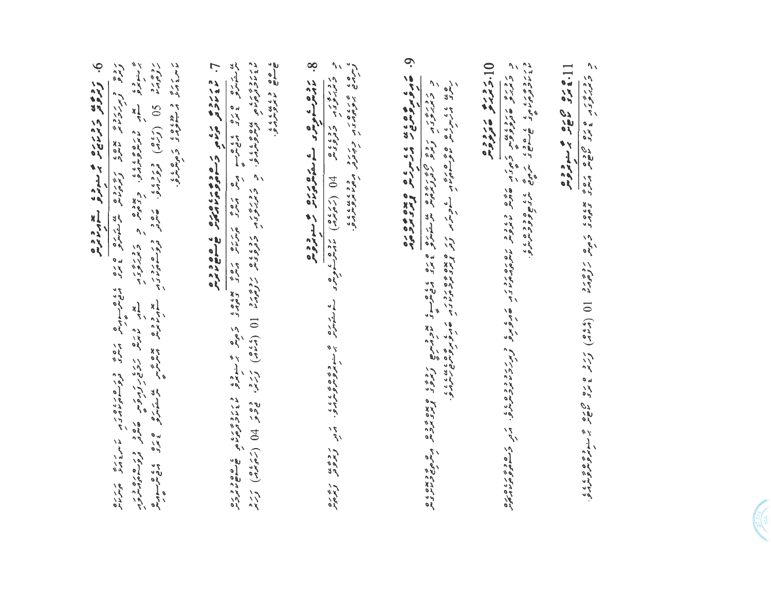|                          | ד דודים דיכל מדור בא דיר די דיכל ביט דיכל די די די די די דיכל ביט ביט די דיכל די די די די די די די די די די די<br>די דודים להתלקות בתוכן באינה סומה מותלית מתלהתובה סהקות להדורמות המתליים. הדי די די די די די די די די די די די<br>10 کاری دیگر می تاروده |  |  |
|--------------------------|------------------------------------------------------------------------------------------------------------------------------------------------------------------------------------------------------------------------------------------------------------|--|--|
|                          |                                                                                                                                                                                                                                                            |  |  |
|                          |                                                                                                                                                                                                                                                            |  |  |
|                          |                                                                                                                                                                                                                                                            |  |  |
|                          |                                                                                                                                                                                                                                                            |  |  |
|                          |                                                                                                                                                                                                                                                            |  |  |
|                          |                                                                                                                                                                                                                                                            |  |  |
|                          |                                                                                                                                                                                                                                                            |  |  |
|                          |                                                                                                                                                                                                                                                            |  |  |
|                          |                                                                                                                                                                                                                                                            |  |  |
|                          |                                                                                                                                                                                                                                                            |  |  |
|                          |                                                                                                                                                                                                                                                            |  |  |
|                          |                                                                                                                                                                                                                                                            |  |  |
|                          |                                                                                                                                                                                                                                                            |  |  |
|                          |                                                                                                                                                                                                                                                            |  |  |
|                          |                                                                                                                                                                                                                                                            |  |  |
| $\overline{\phantom{0}}$ |                                                                                                                                                                                                                                                            |  |  |
| $\checkmark$             |                                                                                                                                                                                                                                                            |  |  |
|                          |                                                                                                                                                                                                                                                            |  |  |
|                          |                                                                                                                                                                                                                                                            |  |  |

**ó** 

 $\begin{matrix} 0 & 1 \\ 0 & 1 \\ 1 & 1 \end{matrix}$ ה בהדיקנה הבדי הבקראיתיות עם הם הבדי והבית של הדיקות הבית הבדי המסידים המסוגים.<br>כ בהדיקנה הבקראיתיות מלוק המתואר שיות הבית הבית הבית הבית הבית המסידים המתחים במכירות.

ه ه ده په دره در در در در ده ده باده ده د

9 . مادمبرسومبرو کے مقامترونانہ کر مندور و<br>6. مادمبرسومبرو کے مقامترونانہ کر مندور میں د دورود تروری به دوره اول (ترتری) (ترتری) اولین استاد استاد استاد استاد استاد استاد به استاد استاد استاد استاد<br>استاد استاد استاد استاد استاد استاد استاد استاد استاد استاد استاد استاد استاد استاد استاد استاد استاد استاد اس

6). توقوی و مربوع م سومرو و سومرو سومریوس<br>در در در در در حدود رو برای می سومرو سوم برای دی در این برای در در در در این در این در این در این در این در ای<br>زرگر (برزدیر حدود رو برای در این در سومرو با سازم و برای دیگر برای ا ם - גם ביסים גם האדם אין היות היותר ביותר בירות בירות בירות בירות בירות בירות בירות בירות בירות בירות בירות בי<br>ה- היותר בירות היותר בירות היותר בירות בירות בירות בירות בירות בירות בירות בירות בירות בירות בירות בירות בירות رده دد 16 (کردم) وردع، میرود ورمیده در بعد دره رزه دره شده و دره ده در 

ر رده د دده ده کار ده کار<br>مانده پر د در دوره د هاندان

ا در دو در ده در وود در وره در در وران در این مورد و در این مورد در این مورد در این مورد در این مورد در این مو<br>از مورد در مورد در مورد در این مورد این مورد در این مورد در این مورد در این مورد در این مورد در این مورد این م

بلاستهتری عربی منحرمی مرتبر متر می در این تعداد کرمین خویش بر سومری ماندوترمزنی فاستهاندری<br>در ستیتر نامزه منحرمی و مرد در می دون می روزه در این از منامزه ماندوترمزنی فاستهاندرین<br>در در در این منتقر در در در در در دوره می ر

a and 15000.<br>1000 100000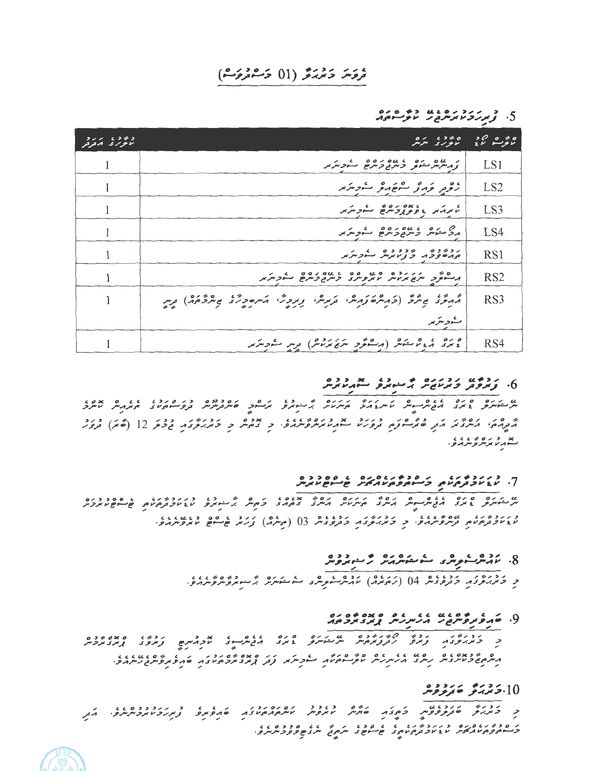#### تروَسَ دَيْرَبَرَّ (01 دَـْمْرُوَثَّ)

و د و د ار را و.<br>موکوری انگریز ەبۇر ئەرەپەر ئەرەپەر ئەر و مورد ده ده ده ده و در در در در کاربر LS1  $\mathbf{1}$ ، و غرمانی سعی مرد شورس LS2  $\mathbf{1}$ أنابرته ووروده باديتهر LS3  $\mathbf{1}$ | رحم شهر وسرد وه و شوس د LS4  $\mathbf{1}$ رده ده از دود و در در بر در در بر در استرا بر در استرا بر در استرا بر در استرا بر در استرا بر دادن بر دارد بر RS1  $\mathbf{1}$ פי הגיג כם בי בי בי בייתם כם בייתוב בייתוב.<br>הבייתוב ייתוב המיית מיתפיית בייתוב בייתום בייתוב. RS<sub>2</sub>  $\mathbf{1}$ הות בי תיית (כותיתם נותי ולתיתי נותכלי היותם כל המתלבתות) וחי RS3  $\mathbf{1}$ سكوبترير ه بری مرد شور در مرکز مرکز برد هر از مرکز بر RS4  $\mathbf{1}$ 

#### ۶ - دروره ده به ده وره<br>۶ - زیرتروناندس در نانوستور

#### $\alpha$ . נינו כמשה המינו המינו

ט גנס סינס שים הם גדול גנגל בגנס לא כש גם כל כל כי סינק היו ביום בגם בגנס ביום ביום ביום ביום ביום ביום ביום ב<br>התנוסתות ביות ביות התנוק האת המינוק האת האינוק האינוק ביות המינוק התנוק האינוק האינוק ביותר ביותר המינוק ביותר × دره ۶ دره در<br>سهر *نابر نتر و سر*مر

7. د د د د و د د . د ه د و د . د ه ر د ه د د ه د د ه<br>7. سروس د د د د سر و سر د و و د بر هر سر سر سر د سر

#### 8. مارش مرضوض کے مقابل مرکز کر مندروس

و دىمرىكى دومان 14 (ئەمەر) بادومار ئاسكى ئاسلامى بار ئىسلامى ئى

#### 9. خدم بر ده ده ده ده ده ده ده ده<br>9. خدم بروس در در سربر از برد برو ور

میگرمری و بوده به ۵ ماه به ۷ ماه ۵ می و ۵ مردم می شود کرد و ۵ مردم و ۵ ماه می کرد و ۵ ماه ماه ماه می می کرد که<br>میگرمری و تاثیری مردم در مردم بر کرد توسعه کام مسلومتر بر کرد کرد کرد می توانس و مردم کرد کرد کرد کرد کرد و ۱

### 10. د د بر خرد د و

د در در درده سروری در ۱۶۶۵ و درور در در درد.<br>د در پروژه کاربرووس در کاربر سروس سرور مورد کاروبرو توبرد سرمره می 

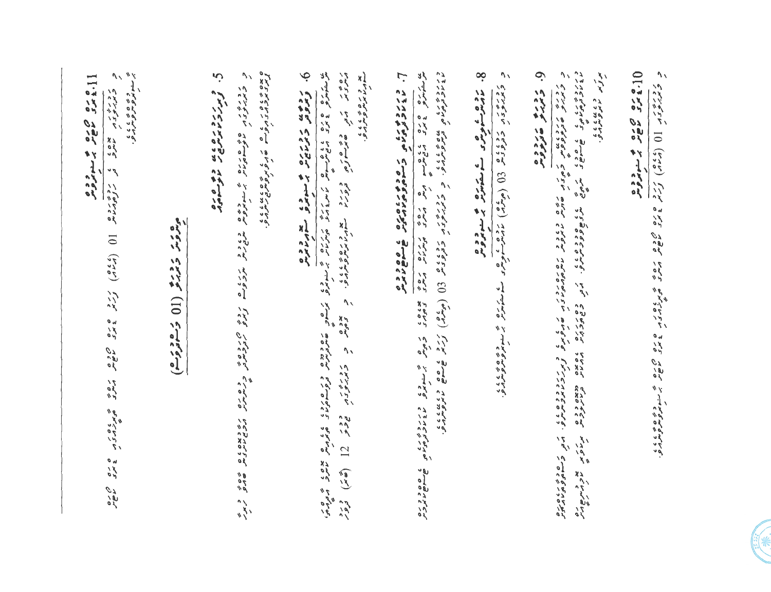1.3 مره ح ده ج سندبروس د زدره در المراه) (در ان در ان در ۱۳۵۵ میلادی در ان در ان در ان در ان در ان در ان در ان در ان در ان در ان در ا<br>در انگریزی از (در انگرام) کردند و بلاد انگرام انگرام در انگرام در انگرام در انگرام در انگرام در انگرام در انگر

ر<br>سرته ماسومبرو ب

9. ترورو تدروده י דדיז הדבאט בספה בקירות המס בגובר מתפרות המתפרות המוניק באירבות המוניק בה הבר בשפת המת<br>כדוגיב הדבר בתיים בקירות המוניק מוניק מתפרות המתפרות המוניק באירבות המוניק בה הבר באירבות המוניק בין המתפרות ה

د دره در دارد و داده ده () ( و داد) اماد بر ده به ده ده اما میکرد و از این داده داده داده داده داده داده داده<br>در او در دور و داده ده ده () ( و داده اما داد بر سومبر داست میگرد از این داده داده داد

8 . ماه ده سه مورس که مشهور مورس و ده ده<br>8 . ماه ده سه مورس و سه مشهور می سنده بروس

ین مترسره و ورو پایان مرتبط به این مرتبط و ترکیب می بروی به دوره و گرونگی می میتواندگی در در در دوره و همین م<br>در رود در و به عده و با می گرونگی می می کند و از می این از می با این این می کند و این می کند و این می گیرد و م<br>

یں در دہ دہ دی دی گھر کا میرے پر دی ہے کے سوچ کر دہ دہ دہ در دہ دی دہ دہ دہ دہ دہ دہ دی گھر کر دی ہے۔<br>مزید میری کا کام کا میرے اس کے اس کے ساتھ کا کام کر دی کام کر اس کا کام کر دی کام کر دیا گیا ہے کہ اس کام کر ک 

یو و ره ۶ و . . .

ه بده د ب ه ر م ه ه م م ب ده ه ب بن ب د<br>از براز براز ایروسه ه مرکز براز برای باراران و .

5. ومرروميون به دوم ه ده<br>5. ومرروميون

6. دیدوس ویردی و سندوه سعددوه

پر<br>بر سنه بروس و بر د د د .<br>بر سنه بروس و مربر د و .

[[ ج مرح مي من هم سنوتوس<br>[[ ج مرح من من هم سنوتوس

مور د د درو (1) د مورم)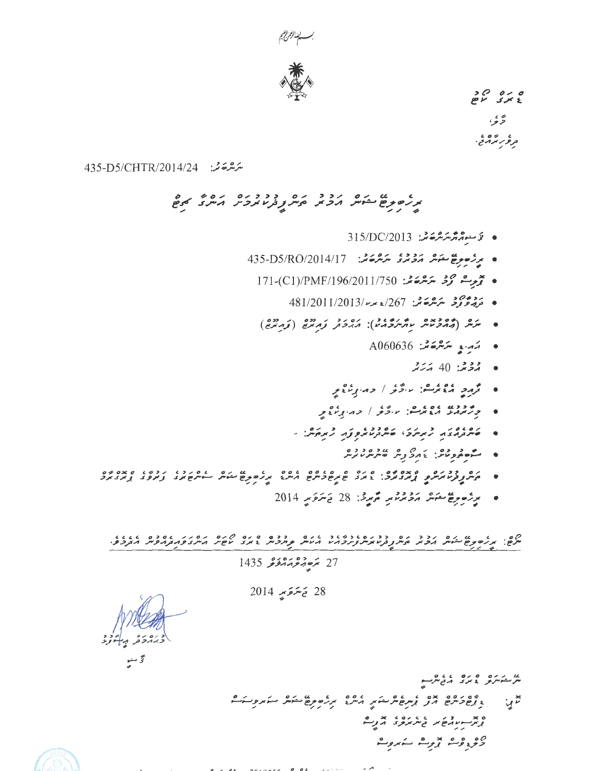

 $20000$ ۇي ، رسم در د.<br>تر *و ر* بر در د.

ىئرتىرىكىنىڭ 435-D5/CHTR/2014/24

ر سال ده ده ده ده دودره ده ده می<br>بررصوح شوش پروبر میسرونری بروس پرسری می

- $315/DC/2013$   $3.5777C/2013$
- برِئەرِغ ئىمىر مەدبەد ئەمەدە بەرگەن. 435-D5/RO/2014/17
	- يَجْعِبُ كَرْفِ سَرْعَرْهُ مِنْ 1/750/PMF/196/2011 (C1)
		- 481/2011/2013/مىلىم كىلىم كى بىر بىر بىر بىر 481/2011/2013
	- ه مرکز (۲٫۵۶۶ مرکز درم): ۶۶٫۶ زمرده (ورمزه)
		- $A060636$  سَرَسْرَحَة هَنَّة الْمَسْرَحَة الْمُسْرِدَة الْمُسْرِدَة الْمُسْرَحَة الْمُسْرِدِينَ مِسْرِد
			- يۇقىئە: 40 ئەئەتمە
		- محمد و دورو الشرکار در برنامبر
		-
		- - ه مشود ده .<br>و مشود ده در در سرد سرمارس
- - مرزم دي مقام پروتروم بر محمده: 28 نخ سرق بر 2014

ים: <sub>מק</sub>קש המים הכל הם לכל המודע המודע במים לכל המודע המיני המיני המודע בין המודע בין.<br>ייקום: *מקדש המיני הכ*מ הייקו *ב*מו*דע בקיבורי ה*מיני במכיי, ג'מני מסיק הייקו פונקו פיקו הפכל.  $1435$  كَرَهِ جَهْرَ حَمْدَهُو 1435

28 يَسْرَحَبِ 2014

مچ<br>تخو منبو

ی دره ۲۵ و ده ۵۷۵<br>مرت مورم ۳۶ و در مرد است مع سرده عدد ده به ده م ەە دەپ ب<sub>و</sub>ر ئىروپ



 $0 \times 0.6$  2010555 006 00100  $\alpha$   $\alpha$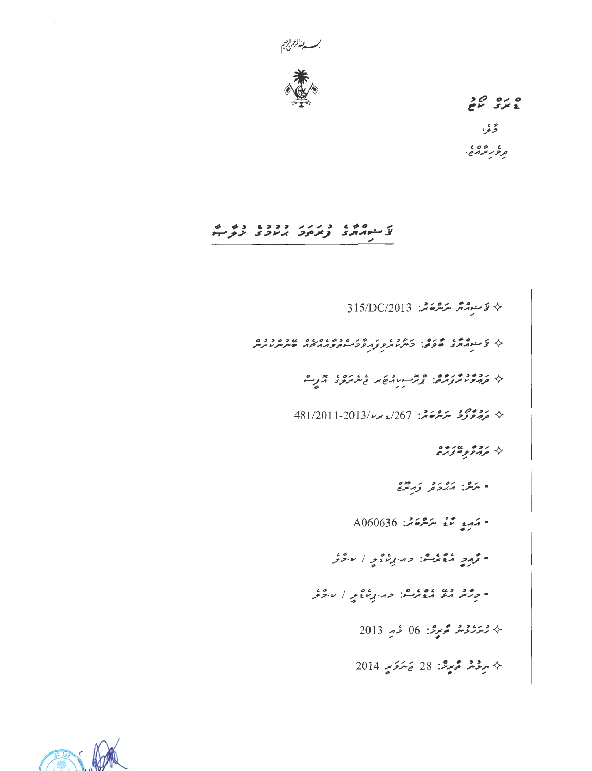

 $20000$ 

ځه بې ر ، ر » ه ، ،<br>تر د بر د د .

# د ده د دربر ددد د ده و<br>د سهرازی زیروژ بر ارد نروی

 $315/DC/2013$  سرگرم مرکز  $\sim$  5  $\diamond$ به رده دوروه و بر مرده با با رو، بر رو  $481/2011$ -2013 - 2013 - 2013 محمد معدم 481/2011 + زدوره زره - مرکز برابرد و ده<br>- مرکز برگرفتر ومارچ  $A060636: 22.27$  - مَهْدِ  $5.5$ - مهدد مصنعا: در برنام / برگز - درو ده ، دوره در اراد است.  $2013$  څرمز د قلمه د السمون او او  $\downarrow$  $2014$  سِرْفَسْر مُمْرِمْ: 28 وَسَرَوَسِ 2014

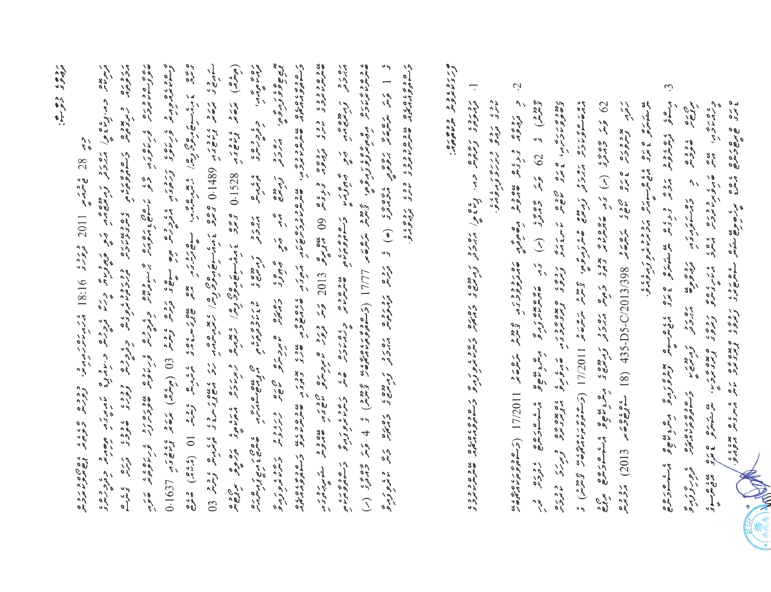روحه دحه

بو های در خود کردن و در دوه او از این های در دوره او برو برای دوره است از دوره در داد و در داد<br>اینگاهای در خود از این دوره او از این این این در داده بود و است در دوره این این در داد در داد داد و داد ue occes de contrava de la companya CIOIS و المحافظ المحافظ المحافظ المستخدم المحافظ المحافظ المحافظ المستخدم المحافظ المحافظ المحافظ المحافظ المحافظ المحافظ المحافظ المحافظ المحافظ المحافظ المحافظ المحافظ المحافظ المحافظ ד סבדוקאים מבט בנה מנסכבד מנסד במודע בין המצב מים המשקה.<br>דו סבדוקאים מבין המידע בין מינייני מידע בין המצבי מידע שירה בין המידע מידע המידע בי מידע המידע המידע. scococi e distribuir de la famille (Castron Elle). Estres de la famille de la famille de la famille (C).<br>Scococi de la familia de la familia de la famille (Castronia) e distribuir de la famille (C). ر ۲۵۵۵ در ۱۵۵۵ میلاد مارس و ۲۵۵ در ۲۵۵۵ در ۲۵۵۵ در ۲۵۵۵ در ۲۵۵۵ در ۲۵۵۵ در ۲۵۵۵ در ۲۵۵۵ در ۲۵۵۵ در ۲۵۵۵ در ۲۵۵<br>۲۳۰۰۰ در ۲۵۵۵ در ۲۷۵۵ در ۲۷۵ در ۲۵۷۵ در ۲۵۵۵ در ۲۵۵۵ در ۲۵۵۵ در ۲۵۵۵ در ۲۵۵۵ در ۲۵۵۵ در ۲۵۵۵ در ۲۵۵۵ در ۲۵۵۵ د יינים ניצנים, לסניים<br>הכתובה מיצנים, להחותפיתים دوه ودوره و رور دی دور و مسلوم دوره و سوملار و دوره و روده سومروز و رور مخرمی مود<br>هواکسرمایروس و رامودی و بی مسلوم به سرماند و دور به و راموش هودراوز و راموی مود ه ۱۶۵۰ و د د د دره د درور د دورس می ده سوده درس کرده (ه (میکرد) مردم و دوره 1631-0).<br>وسیندوره و در در و دمود د دورس می درسی درسی و درسی (ه (میکرد) مردم و دوره). ەمەد يەرسىسى ئەرەبى كەندىسى سەھەدرى بىدە ھەرى دە ئارلىش ئۇرۇ 10 (ئايامى) ھەمىدىكى ئارلىشى ئۇرۇ ئۇرۇ ئۇرۇ ئارلى<br>مەد يەرسىسى ئارلىسى ئۇرا ئەرسىدىكى سىھەدرى بىر ھەر ئارلىش ئۇرۇ (موشره) ترحاق بالموجود 1528 (2019 موشر موضوع وها) المجموعة المحافظ المحافظ المحافظ المحافظ المحافظ المحافظ المحافظ المحافظ المحافظ المحافظ المحافظ المحافظ المحافظ المحافظ المحافظ المحافظ المحافظ المحافظ المحافظ المحافظ الم ی ] توپر بروی رووی دوره کاره در این کار دوره به دوره در در دوره در دوره کار دوره در دوره در دوره در دوره در د ے دی ہے کہ اس کا محمد اور 1489 (1489 میں اس محمد اور اس محمد اور اس محمد اور اس کا محمد اور اس کا محمد اور اس<br>سوری محمد اور اس کا محمد اور اور اور اور اس کا محمد اور اس کا محمد اور اس کا محمد اور اس کا اس کا اور اور اور  $82$  griff  $102$  great  $1816$  great control graph graph graph  $28$ 

ه ررد ، د د د د ده ره .<br>ور د د ، د د

 $\dot{c}$ 

د د ، د د ه د د ره ر ، ، ، ، ،<br>ماس و تابراه د اس از ان کار و با

c choir sizon onen noote anteetse sun noon 1100/Ll (crosconnection)

ه دود ) د 63 وبر و مود (ر) د سره موه بدر و سروسی و در می در و در میتر است.<br>دسترس د 63 وبر و مود (ر) د سروسی مرد میتر می و سروسی دور می

נסקדוני שים 200 משיי מינגי 1993 צאבדור סוקקאק 1970 צאבדו 1987.<br>צסקדוני שאב משיי מינגול 1993 צאבדור סוקקאק 1970 צאבדו 1970.

ده د وه در و مورد و در ده و د در وه از مورد از مورد از ۱/2011 (د سوووه مدمود به از و در مورد د مورد از د مورد <br>مدرستوند در در در در در از در مورد و د از مورد از مورد از از از از مورد و د از از از از از از از از از از از ا

ی و ه و و و ی<br>سرمرد کرد بر

 $\dot{\omega}$ ניים במתוקמת הכזה בגבת תמתות באב השקתיים אבדוזה קייבצות היי של בינים היי המקום.<br>הייחוד במתוקמת הכזה בגבת תמתותות באב השקתיית (מקובצה הייגדופי הייחודיותים) ם הם פינים גם הם הם הם המוניים המוניים הבינים הבינים הם גם הם הבניים.<br>באורך פוניים המוניים המוניים המוניים הביניים אורך המוניים המוניים המוניים.  $\mathcal{L}^{\alpha}=\mathcal{L}^{\alpha}=\mathcal{L}^{\alpha}=\mathcal{L}^{\alpha}=\mathcal{L}^{\alpha}=\mathcal{L}^{\alpha}=\mathcal{L}^{\alpha}=\mathcal{L}^{\alpha}=\mathcal{L}^{\alpha}=\mathcal{L}^{\alpha}=\mathcal{L}^{\alpha}=\mathcal{L}^{\alpha}=\mathcal{L}^{\alpha}=\mathcal{L}^{\alpha}=\mathcal{L}^{\alpha}=\mathcal{L}^{\alpha}=\mathcal{L}^{\alpha}=\mathcal{L}^{\alpha}=\mathcal{L}^{\alpha}=\mathcal{L}^{\alpha}=\mathcal{L}^{\alpha}=\mathcal{L}^{\alpha}$ ر د سعود ده<br>رود وسووم ین رزه ۵۷۵ دی و دوره مرد دوره در در در د م ده ده وده<br>مربوع مورمر yangin ya  $(2013 \times 9292)$   $(18)$  435-D5-C/2013/398  $298 \times 929$ د درمان دود بوده درد د 9 2 2 2<br>1 2 2 2<br>9 2 2 2

**CONSCRIPTION OF PROPERTY**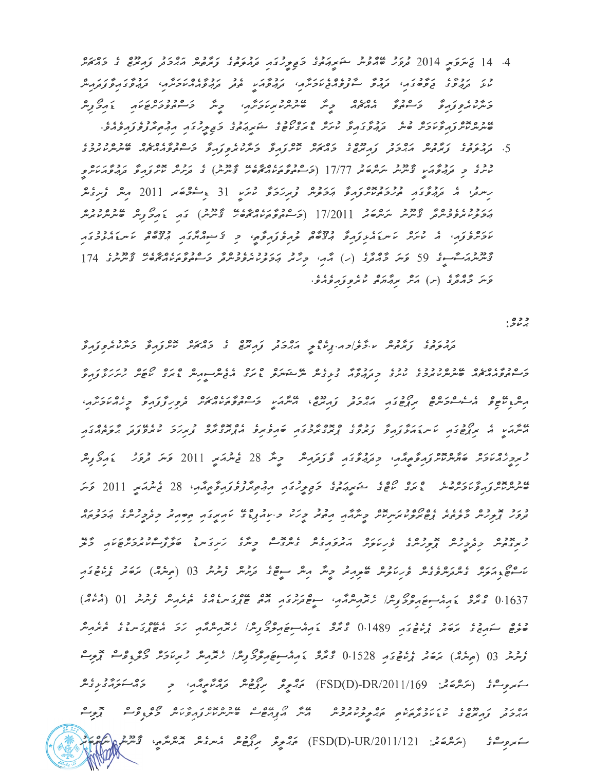4. 14 ق مرکوب 2014 فرور صمروند مقدرته در در در دوره در دوره بر دوره و در دوره در دوره בג גבוה גודל האבג - גבוד הכה הגודה - גבודה גבוד הבריטה המנודדות הגניה הגניה היו מיניה היו מיניה היו מיניה היו<br>מיני הנהפה הקפייה מו הנקודות המוכינית - הנהפחים - מנה הנהפחומיבינות - הנהפה מופקטוניות גוונג ג'ון הכבר ההמה בית הייתונות בית בית בריימפרינסיוג ג'ון ה<br>ביתיוזקיצונים בריימפ ההמה בית הייתיונות בית בריימפרינסיוג בהבצע

שנה המני ויונה בגודלי בני בני היום המרווי ויונה בתוכל היום ויולי ביו בני היום.<br>היום ויום הפוכי היו בנופנוים ויום במנוס ביומנויים בתוכל בתוכלו ויום ולפנוסויים. ר. הכנכו נזכם נהנכ המניג מסוים בנודדים מיניג מיניג ומיניגים ומיניקים.<br>5. הנודדים נזכיו והזכה נוזנים כנודדי מיננות בייטודופנות בייטודונומיות בייטודונים. برسرد ، برده در دوبرده برده و برده و برگزش در از استروه به ۱۵۵ میل ویرویش د دود در در دوره دور در ۱۶۶۶ (ر) اگر در دور دور دوره در ۱74 در ۱۶۵۵ در دوره ۱74 (<br>توسر مرتبط سوئی 59 نوش کرمرموز (ر) اگر در این از برخوش مرکز بر کاربر دوره مرکز می کرد کرد. د د ۱۶۵۶ (م) مرد مرد ده د د د د د د د د د

د د ه .<br>بر برد .

נכנכו נשכם ושל נים נסים נפנכו כמם ונים המונים בסים ביותר ביות הנים לדים.<br>בנהת הזב ניבודות מוכת/כדי נישית המכת נדיבה ב כדיבת מתנה על ביות הניבודות. . הכלה ההוסגום שיכור כבו בכבו הכלל כי הם שינונים הים הום הים ים הים ליום בנוגלו ליום.<br>בנייים פתוח איום שיית מיות שינועים בקוח בין ביות יית עליית תיי ביותר המיות המיות היותר מיות מיות התנועות ליות שני - יו פרי מתגולי זי נרדי הדבירי - ניידי המספר - נייד רושני זיוני.<br>היינוט ה הנפצה טתגולנות נתפל נופדודים התפתם הנופדוד נופד עופנת התפחדה رېږورمنځر ځومده د ورځ مرد د د ورمونه څرن مر د چېگر 28 پرمزم 1911 کرمز برور د د کامرکړمر مەدەمدەر ئەررەدە بەرەم مەدەبى ئىككى ئەرەبى ئىلى ئورگە بىرە ئۇرۇر ئىرقى ئىرىم ئىككى ئاش ئىككى ئىككى ئىككى ئىككى כ מככם - גם בם מי כם גם המונים ובין המונים במונים מי המונים מונים מי מונים מי מונים מי מונים מי מונים מי מי מו<br>מונים מינים בתבמיות הפמיותים פממוניים מונים מונים מייתים מייתים מיית ביות מונים מונים מונים ביות מונים מונים מ ر ۵۵ دره ، ۵ ده ، ، ، ، ، ، ده ، ، ده مورد و بگر مربکر سوده ، دو ده ( ( در ده) او در ده ، ، در ده ، ، در د  $(200)$   $(1037)$   $(2000)$   $(2000)$   $(200)$   $(200)$   $(200)$   $(200)$   $(200)$   $(200)$   $(200)$   $(200)$   $(200)$   $(200)$   $(200)$   $(200)$   $(200)$ د ، ، ، ، ، ، ، ، ، ، ، ، ، 084 . (.) . . ، ، ، ، من من من بن من الله عن الله ، ، ، ، ، ، ، ، ، ، ، ، ، ، ، ، <br>صوح سورج ، منصر برسوير به 0.1489 ، ، در عادر سوخ روز بندا به رسوم . كرد المطابق الله على مريد الله ۇرچىد 03 (مېلام) ئۇھ بىلەدە بىلەر 0.1528 مىچى ئەمەر سەھ مۇدۇر بىرا ئېچرىق جىمەر 29 مەم بىر مىچىدى. سەمرەت (ئىر ئىرىمەتمە: FSD(D)-DR/2011/169) مۇيرىرقى بىرتۇچىل مۇق مۇمۇمەر، جەن خەقسىمۇق دىمىلىرى بىر נסגב ג בכסט בגדביגט גם בבבבבס - טוד יין טוס ם בבביסג דינים ייןם ס"ס - אב"ם.<br>הידברק קהודנים ב- מגיע במקום הידיק בית מידיק המקום - סייקיית וקדק מידיק בפיסגים - קוביים سَمروِعْ فِي (سَرْحَمَة: FSD(D)-UR/2011/121) مَرْبُروِثَو مِرْكَرْفِيَّة مُسْرَوْنَة مَّشْرَمَّوِ، تَوْنْتَشْر